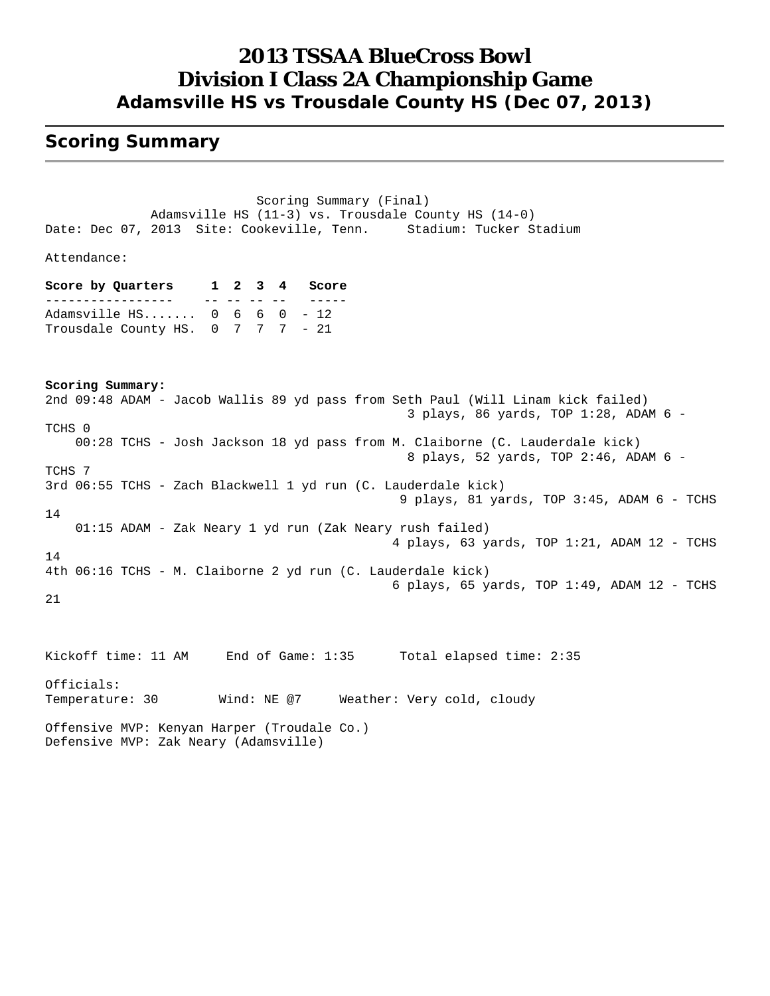### **2013 TSSAA BlueCross Bowl Division I Class 2A Championship Game Adamsville HS vs Trousdale County HS (Dec 07, 2013)**

#### **Scoring Summary**

 Scoring Summary (Final) Adamsville HS (11-3) vs. Trousdale County HS (14-0) Date: Dec 07, 2013 Site: Cookeville, Tenn. Stadium: Tucker Stadium Attendance: **Score by Quarters 1 2 3 4 Score** ----------------- -- -- -- -- ----- Adamsville HS....... 0 6 6 0 - 12 Trousdale County HS. 0 7 7 7 - 21 **Scoring Summary:** 2nd 09:48 ADAM - Jacob Wallis 89 yd pass from Seth Paul (Will Linam kick failed) 3 plays, 86 yards, TOP 1:28, ADAM 6 - TCHS 0 00:28 TCHS - Josh Jackson 18 yd pass from M. Claiborne (C. Lauderdale kick) 8 plays, 52 yards, TOP 2:46, ADAM 6 - TCHS 7 3rd 06:55 TCHS - Zach Blackwell 1 yd run (C. Lauderdale kick) 9 plays, 81 yards, TOP 3:45, ADAM 6 - TCHS 14 01:15 ADAM - Zak Neary 1 yd run (Zak Neary rush failed) 4 plays, 63 yards, TOP 1:21, ADAM 12 - TCHS 14 4th 06:16 TCHS - M. Claiborne 2 yd run (C. Lauderdale kick) 6 plays, 65 yards, TOP 1:49, ADAM 12 - TCHS 21 Kickoff time: 11 AM End of Game: 1:35 Total elapsed time: 2:35 Officials: Temperature: 30 Wind: NE @7 Weather: Very cold, cloudy Offensive MVP: Kenyan Harper (Troudale Co.) Defensive MVP: Zak Neary (Adamsville)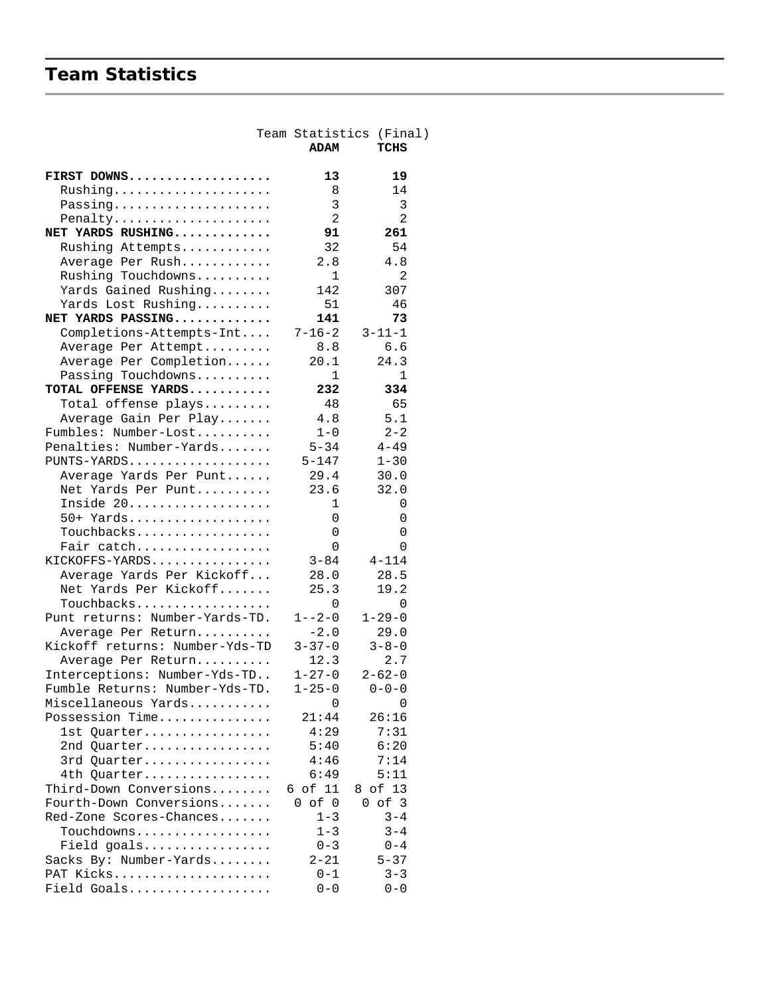## **Team Statistics**

|                                 |                | Team Statistics (Final) |
|---------------------------------|----------------|-------------------------|
|                                 | <b>ADAM</b>    | TCHS                    |
| FIRST DOWNS                     | 13             | 19                      |
| Rushing                         | 8              | 14                      |
| Passing                         | 3              | 3                       |
| Penalty                         | $\overline{2}$ | $\overline{2}$          |
| NET YARDS RUSHING               | 91             | 261                     |
| Rushing Attempts                | 32             | 54                      |
| Average Per Rush                | 2.8            | 4.8                     |
| Rushing Touchdowns              | $\mathbf{1}$   | $\overline{2}$          |
| Yards Gained Rushing            | 142            | 307                     |
| Yards Lost Rushing              | 51             | 46                      |
| NET YARDS PASSING               | 141            | 73                      |
| Completions-Attempts-Int        | $7 - 16 - 2$   | $3 - 11 - 1$            |
| Average Per Attempt             | 8.8            | 6.6                     |
| Average Per Completion          | 20.1           | 24.3                    |
| Passing Touchdowns              | $\mathbf{1}$   | $\mathbf{1}$            |
| TOTAL OFFENSE YARDS             | 232            | 334                     |
| Total offense plays             | 48             | 65                      |
| Average Gain Per Play           | $4.8$          | 5.1                     |
| Fumbles: Number-Lost            | $1 - 0$        | $2 - 2$                 |
| Penalties: Number-Yards         | $5 - 34$       | $4 - 49$                |
| PUNTS-YARDS                     | $5 - 147$      | $1 - 30$                |
| Average Yards Per Punt          | 29.4           | 30.0                    |
| Net Yards Per Punt<br>Inside 20 | 23.6<br>1      | 32.0                    |
| 50+ Yards                       | 0              | 0<br>0                  |
| Touchbacks                      | 0              | 0                       |
| Fair catch                      | 0              | 0                       |
| KICKOFFS-YARDS                  | $3 - 84$       | $4 - 114$               |
| Average Yards Per Kickoff       | 28.0           | 28.5                    |
| Net Yards Per Kickoff           | 25.3           | 19.2                    |
| Touchbacks                      | 0              | 0                       |
| Punt returns: Number-Yards-TD.  | $1 - -2 - 0$   | $1 - 29 - 0$            |
| Average Per Return              | $-2.0$         | 29.0                    |
| Kickoff returns: Number-Yds-TD  | $3 - 37 - 0$   | $3 - 8 - 0$             |
| Average Per Return              | 12.3           | 2.7                     |
| Interceptions: Number-Yds-TD    | $1 - 27 - 0$   | $2 - 62 - 0$            |
| Fumble Returns: Number-Yds-TD.  | $1 - 25 - 0$   | $0 - 0 - 0$             |
| Miscellaneous Yards             | 0              | 0                       |
| Possession Time                 | 21:44          | 26:16                   |
| 1st Quarter                     | 4:29           | 7:31                    |
| 2nd Quarter                     | 5:40           | 6:20                    |
| 3rd Quarter                     | 4:46           | 7:14                    |
| 4th Quarter                     | 6:49           | 5:11                    |
| Third-Down Conversions          | 6 of 11        | 8 of 13                 |
| Fourth-Down Conversions         | $0$ of $0$     | $0$ of $3$              |
| Red-Zone Scores-Chances         | $1 - 3$        | $3 - 4$                 |
| Touchdowns                      | $1 - 3$        | $3 - 4$                 |
| Field goals                     | $0 - 3$        | $0 - 4$                 |
| Sacks By: Number-Yards          | $2 - 21$       | $5 - 37$                |
| PAT Kicks                       | $0 - 1$        | $3 - 3$                 |
| Field Goals                     | $0 - 0$        | $0 - 0$                 |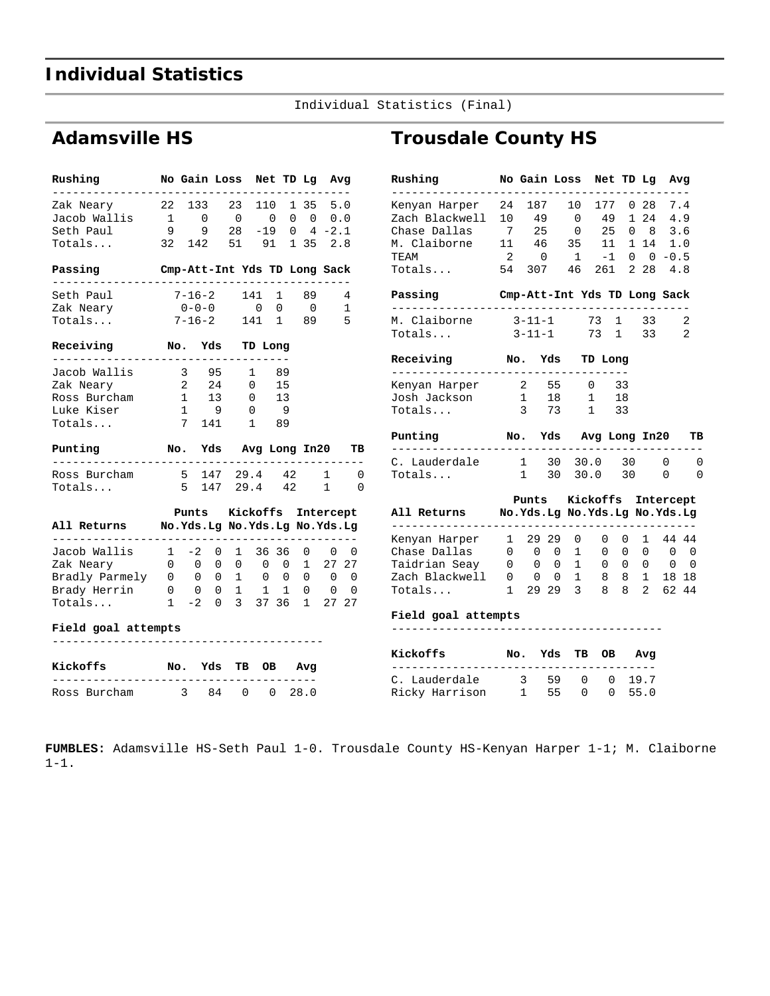## **Individual Statistics**

Individual Statistics (Final)

### **Adamsville HS**

|                                                         | No Gain Loss                 |                              |             |  | Net TD Lg Avg    |                          |    |
|---------------------------------------------------------|------------------------------|------------------------------|-------------|--|------------------|--------------------------|----|
| Zak Neary                                               | 22 133 23 110 1 35 5.0       |                              |             |  |                  |                          |    |
| Jacob Wallis                                            | $\mathbf{1}$                 | $\overline{0}$               | $0\qquad 0$ |  | $0 \t 0 \t 0.0$  |                          |    |
| Seth Paul                                               | 99                           |                              | $28 - 19$   |  | $0 \t 4 \t -2.1$ |                          |    |
| Totals                                                  | 32 142 51 91                 |                              |             |  | 1352.8           |                          |    |
| Passing                                                 | Cmp-Att-Int Yds TD Long Sack |                              |             |  |                  |                          |    |
| Seth Paul                                               | 7-16-2 141 1 89              |                              |             |  |                  |                          | 4  |
| Zak Neary                                               |                              | $0 - 0 - 0$ 0 0              |             |  | $\overline{0}$   | $\overline{\phantom{a}}$ |    |
| Totals                                                  |                              | $7-16-2$ 141 1 89 5          |             |  |                  |                          |    |
| Receiving No. Yds TD Long                               |                              |                              |             |  |                  |                          |    |
| ---------<br>Jacob Wallis                               |                              | 3 95 1 89                    |             |  |                  |                          |    |
| Zak Neary                                               | 2 24 0 15                    |                              |             |  |                  |                          |    |
| Ross Burcham                                            | 1 13 0 13                    |                              |             |  |                  |                          |    |
| Luke Kiser                                              | $1 \quad 9 \quad 0 \quad 9$  |                              |             |  |                  |                          |    |
| Totals                                                  |                              | 7 141 1 89                   |             |  |                  |                          |    |
| Punting                                                 | No. Yds Avg Long In20        |                              |             |  |                  |                          | TВ |
| . _ _ _ _ _ _ _ _ _ .                                   | 5 147 29.4 42 1              | ---------------------------- |             |  |                  |                          | 0  |
| Ross Burcham                                            |                              |                              |             |  |                  |                          |    |
| Totals                                                  | 5 147 29.4 42                |                              |             |  |                  | 1                        | 0  |
|                                                         |                              | Punts Kickoffs Intercept     |             |  |                  |                          |    |
| All Returns Mo.Yds.Lg No.Yds.Lg No.Yds.Lg<br>---------- |                              |                              |             |  |                  |                          |    |
| Jacob Wallis 1 -2 0                                     | .                            |                              |             |  | 1 36 36 0        | 0                        | 0  |
| Zak Neary 0 0 0 0 0 0 1 27 27                           |                              |                              |             |  |                  |                          |    |
| Bradly Parmely 0 0 0 1 0 0 0 0 0                        |                              |                              |             |  |                  |                          |    |
|                                                         |                              |                              |             |  |                  |                          |    |
| $Totals$ $1 -2 0$                                       |                              |                              |             |  | 3 37 36 1 27 27  |                          |    |
| Field goal attempts                                     |                              |                              |             |  |                  |                          |    |

| Kickoffs |              | No. Yds TB OB Avg |  |             |
|----------|--------------|-------------------|--|-------------|
|          | Ross Burcham |                   |  | 84 0 0 28.0 |

## **Trousdale County HS**

| Rushing<br>. _ _ _ _ _ _ _ _ _ _ _                                                                                             | No Gain Loss Net TD Lg Avg   |                |                |    |  |             |                |
|--------------------------------------------------------------------------------------------------------------------------------|------------------------------|----------------|----------------|----|--|-------------|----------------|
| Kenyan Harper 24 187 10 177 0 28 7.4                                                                                           |                              |                |                |    |  |             |                |
| Zach Blackwell 10                                                                                                              | 49                           | $\overline{0}$ |                |    |  | 49 1 24 4.9 |                |
|                                                                                                                                |                              |                |                |    |  |             |                |
| Chase Dallas 7 25 0 25 0 8 3.6<br>M. Claiborne 11 46 35 11 1 14 1.0<br>TEAM 2 0 1 -1 0 0 -0.5<br>Totals 54 307 46 261 2 28 4.8 |                              |                |                |    |  |             |                |
|                                                                                                                                |                              |                |                |    |  |             |                |
|                                                                                                                                |                              |                |                |    |  |             |                |
| Passing                                                                                                                        | Cmp-Att-Int Yds TD Long Sack |                |                |    |  |             |                |
| M. Claiborne 3-11-1 73 1 33                                                                                                    |                              |                |                |    |  |             | 2              |
| Totals                                                                                                                         | $3 - 11 - 1$                 |                | 73 1 33        |    |  |             | $\overline{2}$ |
| Receiving No. Yds TD Long<br>. _ _ _ _ _ _ _ _ _ _ _ _ _ _                                                                     |                              |                |                |    |  |             |                |
| Kenyan Harper                                                                                                                  | 2 55 0 33                    |                |                |    |  |             |                |
| Josh Jackson                                                                                                                   | $1 \t18$                     |                | $\overline{1}$ | 18 |  |             |                |
| Totals                                                                                                                         | 3 73 1 33                    |                |                |    |  |             |                |
| Punting<br>. _ _ _ _ _ _ _ _ _ _                                                                                               | No. Yds Avg Long In20        |                |                |    |  |             | TВ             |
| C. Lauderdale 1 30 30.0 30 0                                                                                                   |                              |                |                |    |  |             |                |
| Totals                                                                                                                         | 1 30 30.0 30                 |                |                |    |  | $\Omega$    |                |
|                                                                                                                                | Punts Kickoffs Intercept     |                |                |    |  |             |                |
| All Returns Mo.Yds.Lg No.Yds.Lg No.Yds.Lg                                                                                      |                              |                |                |    |  |             |                |
| Kenyan Harper 1 29 29 0 0 0 1 44 44                                                                                            |                              |                |                |    |  |             |                |
|                                                                                                                                |                              |                |                |    |  |             |                |
| Taidrian Seay 0 0 0 1 0 0 0 0 0                                                                                                |                              |                |                |    |  |             |                |
| Zach Blackwell 0 0 0 1 8 8 1 18 18                                                                                             |                              |                |                |    |  |             |                |
| Totals 1 29 29 3 8 8                                                                                                           |                              |                |                |    |  | 2 62 44     |                |
| Field goal attempts                                                                                                            |                              |                |                |    |  |             |                |

| Kickoffs       |              | No. Yds TB OB Avg |  |             |
|----------------|--------------|-------------------|--|-------------|
| C. Lauderdale  | 2            |                   |  | 59 0 0 19.7 |
| Ricky Harrison | $\mathbb{1}$ | 55 0              |  | 0, 55.0     |

**FUMBLES:** Adamsville HS-Seth Paul 1-0. Trousdale County HS-Kenyan Harper 1-1; M. Claiborne 1-1.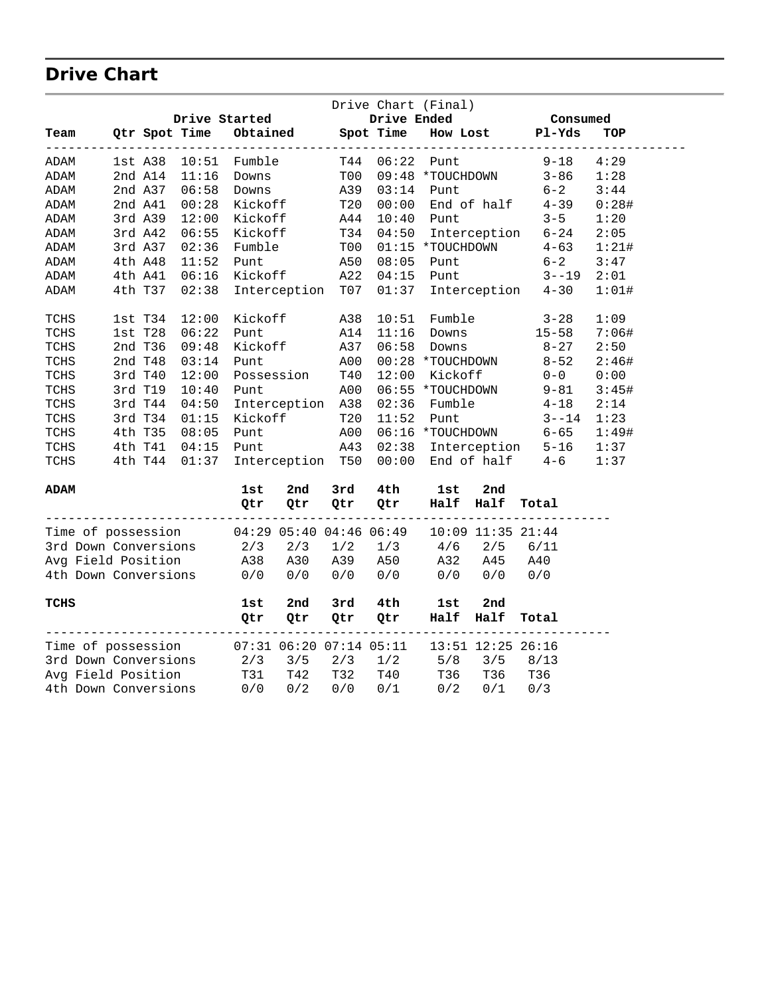## **Drive Chart**

|                                                              |              |       |                                                                                  |                          |             |                                  | Drive Chart (Final) |                         |                           |       |
|--------------------------------------------------------------|--------------|-------|----------------------------------------------------------------------------------|--------------------------|-------------|----------------------------------|---------------------|-------------------------|---------------------------|-------|
|                                                              |              |       | Drive Started                                                                    |                          |             | Drive Ended                      |                     |                         | <b>Consumed</b>           |       |
| Team                                                         |              |       |                                                                                  |                          |             | Qtr Spot Time Obtained Spot Time |                     |                         | How Lost Pl-Yds           | TOP   |
| ADAM                                                         | lst A38      |       | $10:51$ Fumble                                                                   |                          |             | T44 06:22 Punt                   |                     |                         | $9 - 18$                  | 4:29  |
| ADAM                                                         | 2nd A14      | 11:16 | Downs                                                                            |                          | T00         |                                  | 09:48 *TOUCHDOWN    |                         | $3 - 86$                  | 1:28  |
| ADAM                                                         | 2nd A37      | 06:58 | Downs                                                                            |                          | A39         | 03:14                            | Punt                |                         | $6 - 2$                   | 3:44  |
| ADAM                                                         | 2nd A41      | 00:28 | Kickoff                                                                          |                          | T20         | 00:00                            |                     |                         | End of $half$ 4-39        | 0:28# |
| ADAM                                                         | 3rd A39      | 12:00 | Kickoff                                                                          |                          | A44         | 10:40                            | Punt                |                         | $3 - 5$                   | 1:20  |
| ADAM                                                         | 3rd A42      | 06:55 | Kickoff                                                                          |                          | T34         | 04:50                            |                     |                         | Interception 6-24         | 2:05  |
| ADAM                                                         | 3rd A37      | 02:36 | Fumble                                                                           |                          | T00         |                                  |                     |                         | $01:15$ *TOUCHDOWN $4-63$ | 1:21# |
| ADAM                                                         | 4th A48      | 11:52 | Punt                                                                             |                          | A50         | 08:05                            | <b>Punt</b>         |                         | $6 - 2$                   | 3:47  |
| ADAM                                                         | 4th A41      | 06:16 |                                                                                  | Kickoff                  | A22         | 04:15                            |                     |                         | Punt 3--19                | 2:01  |
| ADAM                                                         | 4th T37      | 02:38 |                                                                                  | Interception             | T07         |                                  |                     |                         | 01:37 Interception 4-30   | 1:01# |
| TCHS                                                         | $1st$ T $34$ | 12:00 | Kickoff                                                                          |                          | A38         | 10:51                            | Fumble              |                         | $3 - 28$                  | 1:09  |
| $\operatorname{\mathsf{TCHS}}$                               | 1st T28      | 06:22 | Punt                                                                             |                          | A14         | 11:16                            | Downs               |                         | $15 - 58$                 | 7:06# |
| TCHS                                                         | 2nd T36      | 09:48 | Kickoff                                                                          |                          | A37         | 06:58                            | Downs               |                         | $8 - 27$                  | 2:50  |
| TCHS                                                         | 2nd T48      | 03:14 | Punt                                                                             |                          | A00         |                                  | 00:28 *TOUCHDOWN    |                         | $8 - 52$                  | 2:46# |
| $\operatorname{\mathsf{TCHS}}$                               | 3rd T40      | 12:00 |                                                                                  | Possession               | T40         | 12:00                            | Kickoff             |                         | $0 - 0$                   | 0:00  |
| TCHS                                                         | 3rd T19      | 10:40 | Punt                                                                             |                          | A00         |                                  | 06:55 *TOUCHDOWN    |                         | $9 - 81$                  | 3:45# |
| TCHS                                                         | 3rd T44      | 04:50 |                                                                                  | Interception             | A38         | 02:36                            | Fumble              |                         | $4 - 18$                  | 2:14  |
| TCHS                                                         | 3rd T34      | 01:15 |                                                                                  |                          | T20         | 11:52                            | Punt                |                         | $3 - -14$                 | 1:23  |
| TCHS                                                         | 4th T35      | 08:05 | Punt                                                                             | Kickoff<br>Punt          | A00         |                                  |                     |                         | $06:16 * TOUCHDOWN 6-65$  | 1:49# |
| TCHS                                                         | 4th T41      | 04:15 |                                                                                  | Punt                     | A43         |                                  |                     |                         | 02:38 Interception 5-16   | 1:37  |
| TCHS                                                         | 4th T44      | 01:37 |                                                                                  | Interception T50         |             |                                  |                     |                         | $00:00$ End of half $4-6$ | 1:37  |
| ADAM                                                         |              |       | 1st                                                                              | 2nd                      | 3rd         | 4th                              | lst                 | 2nd                     |                           |       |
|                                                              |              |       | Qtr                                                                              | Qtr                      | Qtr         | Qtr                              | Half Half           |                         | Total                     |       |
| Time of possession 04:29 05:40 04:46 06:49                   |              |       |                                                                                  |                          |             |                                  |                     | $10:09$ $11:35$ $21:44$ |                           |       |
| 3rd Down Conversions                                         |              |       |                                                                                  |                          |             | $1/2$ $1/3$                      | $4/6$ 2/5           |                         | 6/11                      |       |
| Avg Field Position                                           |              |       |                                                                                  |                          |             | A39 A50                          |                     | A32 A45                 | A40                       |       |
| 4th Down Conversions                                         |              |       | $\begin{array}{ccc} 2/3 & 2/3 \ \text{A}38 & \text{A}30 \ 0/0 & 0/0 \end{array}$ |                          | 0/0         | 0/0                              | $0/0$ $0/0$         |                         | 0/0                       |       |
| TCHS                                                         |              |       | 1st                                                                              | 2nd                      | 3rd         | 4th                              | lst                 | 2nd                     |                           |       |
|                                                              |              |       | Qtr                                                                              | Qtr<br>----------------- | Qtr         | Qtr                              | Half Half           | ---------               | Total                     |       |
| Time of possession 07:31 06:20 07:14 05:11 13:51 12:25 26:16 |              |       |                                                                                  |                          |             |                                  |                     |                         |                           |       |
| 3rd Down Conversions                                         |              |       | 2/3                                                                              | 3/5                      | $2/3$ $1/2$ |                                  |                     | $5/8$ $3/5$             | 8/13                      |       |
| Avg Field Position                                           |              |       | T31                                                                              | T42                      | T32         | T40                              | T36                 | T36                     | T36                       |       |
| 4th Down Conversions                                         |              |       | 0/0                                                                              | 0/2                      | 0/0         | 0/1                              | 0/2                 | 0/1                     | 0/3                       |       |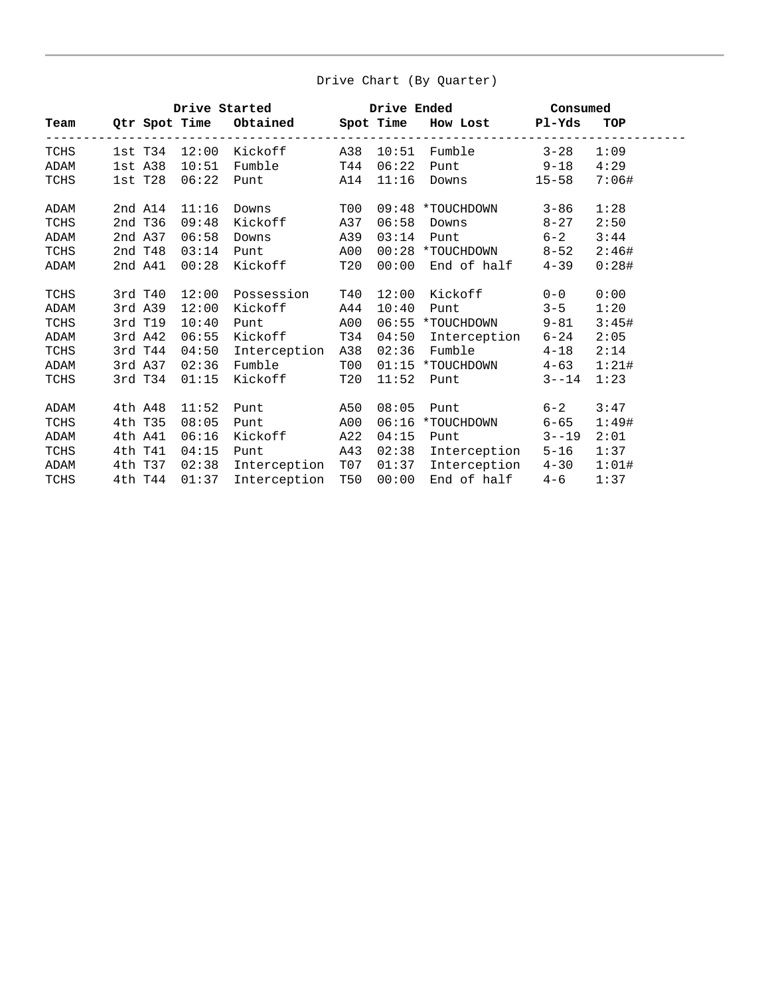#### Drive Chart (By Quarter)

|      |         |               |                                        |     |         | Drive Started Drive Ended Consumed |                                             |       |
|------|---------|---------------|----------------------------------------|-----|---------|------------------------------------|---------------------------------------------|-------|
|      |         |               | Team Qtr Spot Time Obtained Spot Time  |     |         | How Lost Pl-Yds                    |                                             | TOP   |
| TCHS |         |               | -------------<br>1st T34 12:00 Kickoff |     | ------- | A38 10:51 Fumble                   | - - - - - - - - - - - - - - - -<br>$3 - 28$ | 1:09  |
| ADAM |         | 1st A38 10:51 | Fumble                                 | T44 | 06:22   | Punt 9-18                          |                                             | 4:29  |
| TCHS | 1st T28 | 06:22         | Punt                                   | A14 | 11:16   |                                    |                                             | 7:06# |
| ADAM | 2nd A14 | 11:16         | Downs                                  | T00 |         | 09:48 *TOUCHDOWN                   | 3-86                                        | 1:28  |
| TCHS | 2nd T36 | 09:48         | Kickoff                                | A37 | 06:58   | Downs                              | $8 - 27$                                    | 2:50  |
| ADAM | 2nd A37 | 06:58         | Downs                                  | A39 | 03:14   | <b>Punt</b>                        | $6 - 2$                                     | 3:44  |
| TCHS | 2nd T48 | 03:14         | Punt                                   | A00 |         | 00:28 *TOUCHDOWN                   | $8 - 52$                                    | 2:46# |
| ADAM | 2nd A41 | 00:28         | Kickoff                                | T20 | 00:00   | End of half                        | $4 - 39$                                    | 0:28# |
| TCHS | 3rd T40 |               | 12:00 Possession                       | T40 | 12:00   | Kickoff 0-0                        |                                             | 0:00  |
| ADAM | 3rd A39 | 12:00         | Kickoff                                | A44 | 10:40   | Punt                               | $3 - 5$                                     | 1:20  |
| TCHS | 3rd T19 | 10:40         | Punt                                   | A00 |         | 06:55 *TOUCHDOWN                   | $9 - 81$                                    | 3:45# |
| ADAM | 3rd A42 | 06:55         | Kickoff                                | T34 |         | 04:50 Interception 6-24            |                                             | 2:05  |
| TCHS | 3rd T44 | 04:50         | Interception                           | A38 | 02:36   | Fumble 4-18                        |                                             | 2:14  |
| ADAM | 3rd A37 | 02:36         | Fumble                                 | T00 |         | $01:15$ *TOUCHDOWN 4-63            |                                             | 1:21# |
| TCHS | 3rd T34 | 01:15         | Kickoff                                | T20 | 11:52   | <b>Punt</b>                        | $3 - -14$                                   | 1:23  |
| ADAM | 4th A48 | 11:52         | Punt                                   | A50 | 08:05   | <b>Punt</b>                        | $6 - 2$                                     | 3:47  |
| TCHS | 4th T35 | 08:05         | Punt                                   | A00 | 06:16   | *TOUCHDOWN                         | $6 - 65$                                    | 1:49# |
| ADAM | 4th A41 | 06:16         | Kickoff                                | A22 | 04:15   | Punt 3--19                         |                                             | 2:01  |
| TCHS | 4th T41 | 04:15         | Punt                                   | A43 |         | 02:38 Interception                 | $5 - 16$                                    | 1:37  |
| ADAM | 4th T37 | 02:38         | Interception                           | T07 |         | 01:37 Interception 4-30            |                                             | 1:01# |
| TCHS | 4th T44 | 01:37         | Interception                           | T50 | 00:00   | End of half                        | $4 - 6$                                     | 1:37  |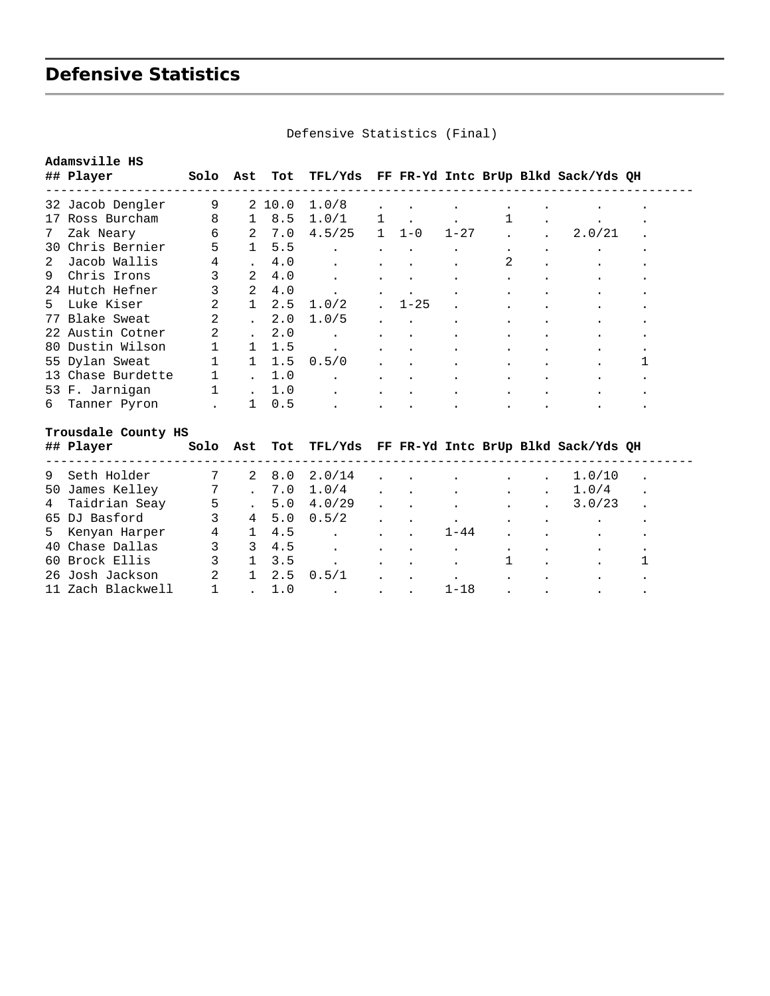## **Defensive Statistics**

|     | Adamsville HS       |                |                 |       |           |   |          |          |   |                                             |   |
|-----|---------------------|----------------|-----------------|-------|-----------|---|----------|----------|---|---------------------------------------------|---|
|     | ## Player           | Solo           | Ast             | Tot   |           |   |          |          |   | TFL/Yds FF FR-Yd Intc BrUp Blkd Sack/Yds QH |   |
|     | 32 Jacob Dengler    | 9              |                 | 210.0 | 1.0/8     |   |          |          |   |                                             |   |
| 17  | Ross Burcham        | 8              | 1               | 8.5   | 1.0/1     | 1 |          |          | 1 |                                             |   |
| 7   | Zak Neary           | 6              | 2               | 7.0   | 4.5/25    | 1 | $1 - 0$  | $1 - 27$ |   | 2.0/21                                      |   |
| 30  | Chris Bernier       | 5              | $\mathbf{1}$    | 5.5   |           |   |          |          |   |                                             |   |
| 2   | Jacob Wallis        | 4              |                 | 4.0   |           |   |          |          | 2 |                                             |   |
| 9   | Chris Irons         | 3              | 2               | 4.0   |           |   |          |          |   |                                             |   |
|     | 24 Hutch Hefner     | 3              | 2               | 4.0   |           |   |          |          |   |                                             |   |
| 5   | Luke Kiser          | $\overline{2}$ | $\mathbf{1}$    | 2.5   | 1.0/2     |   | $1 - 25$ |          |   |                                             |   |
| 77  | Blake Sweat         | 2              |                 | 2.0   | 1.0/5     |   |          |          |   |                                             |   |
| 22  | Austin Cotner       | 2              |                 | 2.0   |           |   |          |          |   |                                             |   |
| 80  | Dustin Wilson       | $\mathbf{1}$   | 1.              | 1.5   |           |   |          |          |   |                                             |   |
|     | 55 Dylan Sweat      | $\mathbf{1}$   | $\mathbf{1}$    | 1.5   | 0.5/0     |   |          |          |   |                                             | 1 |
| 13  | Chase Burdette      | $\mathbf 1$    |                 | 1.0   |           |   |          |          |   |                                             |   |
|     | 53 F. Jarnigan      | $\mathbf{1}$   |                 | 1.0   |           |   |          |          |   |                                             |   |
| 6   | Tanner Pyron        |                | 1               | 0.5   |           |   |          |          |   |                                             |   |
|     | Trousdale County HS |                |                 |       |           |   |          |          |   |                                             |   |
|     | ## Player           | Solo           | Ast             | Tot   |           |   |          |          |   | TFL/Yds FF FR-Yd Intc BrUp Blkd Sack/Yds QH |   |
| 9   | Seth Holder         | 7              |                 | 8.0   | 2.0/14    |   |          |          |   | 1.0/10                                      |   |
| 50  | James Kelley        | 7              |                 | 7.0   | 1.0/4     |   |          |          |   | 1.0/4                                       |   |
| 4   | Taidrian Seay       | 5              |                 | 5.0   | 4.0/29    |   |          |          |   | 3.0/23                                      |   |
|     | 65 DJ Basford       | 3              | $4\overline{ }$ | 5.0   | 0.5/2     |   |          |          |   |                                             |   |
| 5   | Kenyan Harper       | 4              | 1               | 4.5   |           |   |          | $1 - 44$ |   |                                             |   |
| 40  | Chase Dallas        | 3              | 3               | 4.5   |           |   |          |          |   |                                             |   |
| 60  | Brock Ellis         | 3              | $\mathbf{1}$    | 3.5   | $\bullet$ |   |          |          | 1 |                                             | 1 |
| 26. | Josh Jackson        | $\overline{2}$ | $\mathbf{1}$    | 2.5   | 0.5/1     |   |          |          |   |                                             |   |
|     | 11 Zach Blackwell   | $\mathbf{1}$   |                 | 1.0   |           |   |          | $1 - 18$ |   |                                             |   |

Defensive Statistics (Final)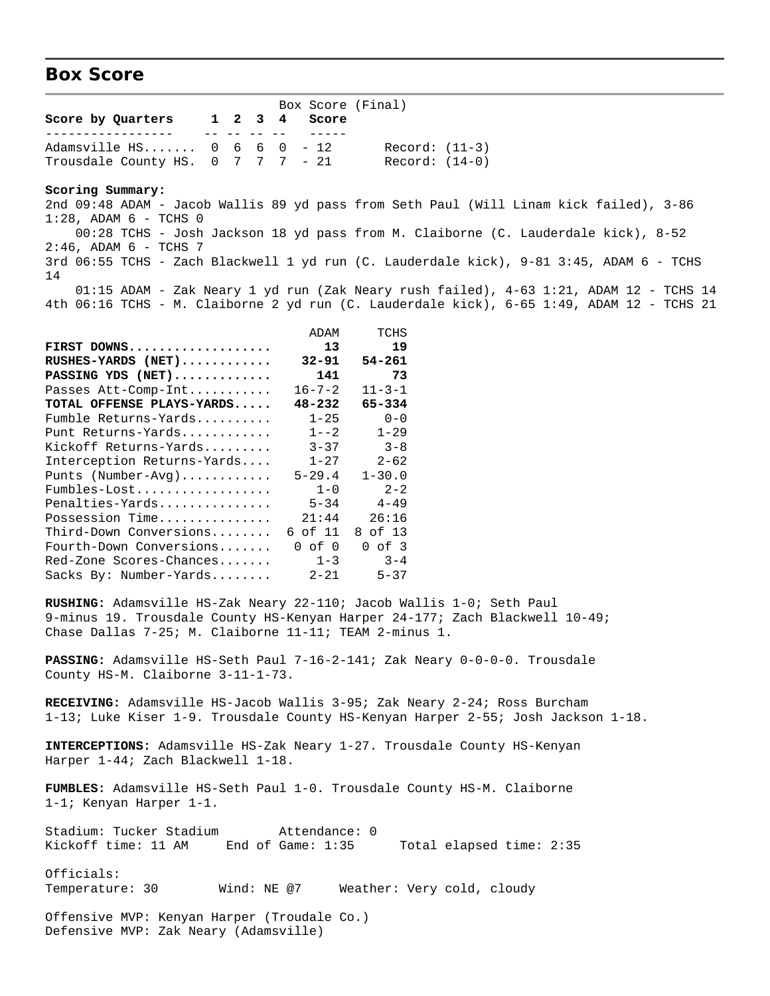#### **Box Score**

Box Score (Final)<br>1 2 3 4 Score **Score by Quarters 1 2 3 4 Score** ----------------- -- -- -- -- ----- Adamsville HS....... 0 6 6 0 - 12 Record: (11-3) Trousdale County HS.  $0 \quad 7 \quad 7 \quad - \quad 21$  Record:  $(14-0)$ 

**Scoring Summary:**

2nd 09:48 ADAM - Jacob Wallis 89 yd pass from Seth Paul (Will Linam kick failed), 3-86  $1:28$ , ADAM  $6$  - TCHS  $0$  00:28 TCHS - Josh Jackson 18 yd pass from M. Claiborne (C. Lauderdale kick), 8-52  $2:46$ , ADAM  $6$  - TCHS 7 3rd 06:55 TCHS - Zach Blackwell 1 yd run (C. Lauderdale kick), 9-81 3:45, ADAM 6 - TCHS 14 01:15 ADAM - Zak Neary 1 yd run (Zak Neary rush failed), 4-63 1:21, ADAM 12 - TCHS 14 4th 06:16 TCHS - M. Claiborne 2 yd run (C. Lauderdale kick), 6-65 1:49, ADAM 12 - TCHS 21

|                            | ADAM         | TCHS         |
|----------------------------|--------------|--------------|
| FIRST DOWNS                | 13           | 19           |
| RUSHES-YARDS (NET)         | $32 - 91$    | 54-261       |
| PASSING YDS (NET)          | 141          | 73           |
| Passes Att-Comp-Int        | $16 - 7 - 2$ | $11 - 3 - 1$ |
| TOTAL OFFENSE PLAYS-YARDS  | $48 - 232$   | 65-334       |
| Fumble Returns-Yards       | $1 - 25$     | $0 - 0$      |
| Punt Returns-Yards         | $1 - -2$     | $1 - 29$     |
| Kickoff Returns-Yards      | $3 - 37$     | $3 - 8$      |
| Interception Returns-Yards | $1 - 27$     | $2 - 62$     |
| Punts (Number-Avg)         | $5 - 29.4$   | $1 - 30.0$   |
| Fumbles-Lost               | $1 - 0$      | $2 - 2$      |
| Penalties-Yards            | $5 - 34$     | $4 - 49$     |
| Possession Time            | 21:44        | 26:16        |
| Third-Down Conversions     | 6 of 11      | 8 of 13      |
| Fourth-Down Conversions    | $0$ of $0$   | $0$ of $3$   |
| Red-Zone Scores-Chances    | $1 - 3$      | $3 - 4$      |
| Sacks By: Number-Yards     | $2 - 21$     | $5 - 37$     |

**RUSHING:** Adamsville HS-Zak Neary 22-110; Jacob Wallis 1-0; Seth Paul 9-minus 19. Trousdale County HS-Kenyan Harper 24-177; Zach Blackwell 10-49; Chase Dallas 7-25; M. Claiborne 11-11; TEAM 2-minus 1.

**PASSING:** Adamsville HS-Seth Paul 7-16-2-141; Zak Neary 0-0-0-0. Trousdale County HS-M. Claiborne 3-11-1-73.

**RECEIVING:** Adamsville HS-Jacob Wallis 3-95; Zak Neary 2-24; Ross Burcham 1-13; Luke Kiser 1-9. Trousdale County HS-Kenyan Harper 2-55; Josh Jackson 1-18.

**INTERCEPTIONS:** Adamsville HS-Zak Neary 1-27. Trousdale County HS-Kenyan Harper 1-44; Zach Blackwell 1-18.

**FUMBLES:** Adamsville HS-Seth Paul 1-0. Trousdale County HS-M. Claiborne 1-1; Kenyan Harper 1-1.

Stadium: Tucker Stadium Attendance: 0 Kickoff time: 11 AM End of Game: 1:35 Total elapsed time: 2:35

Officials: Temperature: 30 Wind: NE @7 Weather: Very cold, cloudy

Offensive MVP: Kenyan Harper (Troudale Co.) Defensive MVP: Zak Neary (Adamsville)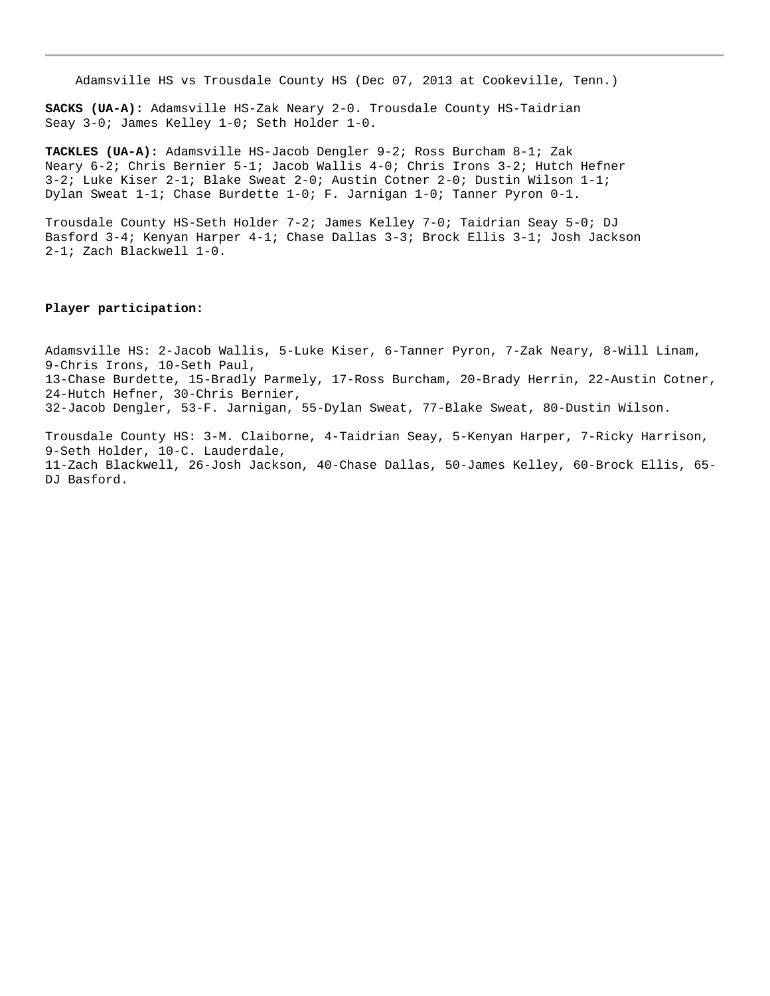Adamsville HS vs Trousdale County HS (Dec 07, 2013 at Cookeville, Tenn.)

**SACKS (UA-A):** Adamsville HS-Zak Neary 2-0. Trousdale County HS-Taidrian Seay 3-0; James Kelley 1-0; Seth Holder 1-0.

**TACKLES (UA-A):** Adamsville HS-Jacob Dengler 9-2; Ross Burcham 8-1; Zak Neary 6-2; Chris Bernier 5-1; Jacob Wallis 4-0; Chris Irons 3-2; Hutch Hefner 3-2; Luke Kiser 2-1; Blake Sweat 2-0; Austin Cotner 2-0; Dustin Wilson 1-1; Dylan Sweat 1-1; Chase Burdette 1-0; F. Jarnigan 1-0; Tanner Pyron 0-1.

Trousdale County HS-Seth Holder 7-2; James Kelley 7-0; Taidrian Seay 5-0; DJ Basford 3-4; Kenyan Harper 4-1; Chase Dallas 3-3; Brock Ellis 3-1; Josh Jackson 2-1; Zach Blackwell 1-0.

#### **Player participation:**

Adamsville HS: 2-Jacob Wallis, 5-Luke Kiser, 6-Tanner Pyron, 7-Zak Neary, 8-Will Linam, 9-Chris Irons, 10-Seth Paul, 13-Chase Burdette, 15-Bradly Parmely, 17-Ross Burcham, 20-Brady Herrin, 22-Austin Cotner, 24-Hutch Hefner, 30-Chris Bernier, 32-Jacob Dengler, 53-F. Jarnigan, 55-Dylan Sweat, 77-Blake Sweat, 80-Dustin Wilson.

Trousdale County HS: 3-M. Claiborne, 4-Taidrian Seay, 5-Kenyan Harper, 7-Ricky Harrison, 9-Seth Holder, 10-C. Lauderdale, 11-Zach Blackwell, 26-Josh Jackson, 40-Chase Dallas, 50-James Kelley, 60-Brock Ellis, 65- DJ Basford.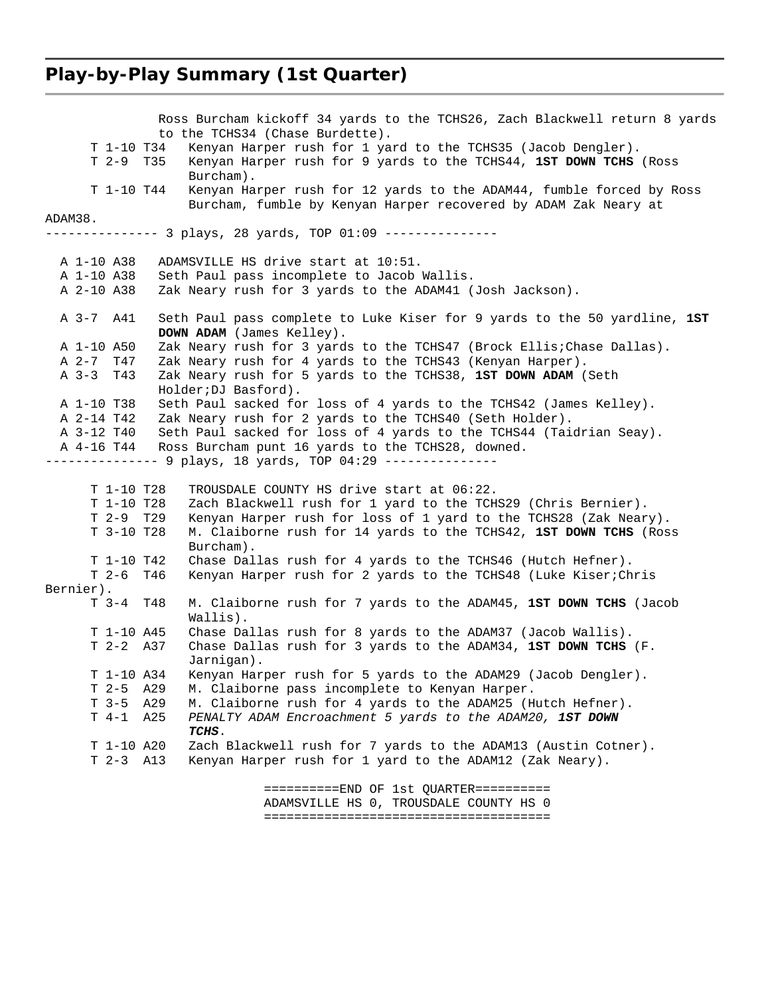#### **Play-by-Play Summary (1st Quarter)**

 Ross Burcham kickoff 34 yards to the TCHS26, Zach Blackwell return 8 yards to the TCHS34 (Chase Burdette). T 1-10 T34 Kenyan Harper rush for 1 yard to the TCHS35 (Jacob Dengler). T 2-9 T35 Kenyan Harper rush for 9 yards to the TCHS44, **1ST DOWN TCHS** (Ross Burcham). T 1-10 T44 Kenyan Harper rush for 12 yards to the ADAM44, fumble forced by Ross Burcham, fumble by Kenyan Harper recovered by ADAM Zak Neary at ADAM38. -------------- 3 plays, 28 yards, TOP 01:09 --------------- A 1-10 A38 ADAMSVILLE HS drive start at 10:51. A 1-10 A38 Seth Paul pass incomplete to Jacob Wallis. A 2-10 A38 Zak Neary rush for 3 yards to the ADAM41 (Josh Jackson). A 3-7 A41 Seth Paul pass complete to Luke Kiser for 9 yards to the 50 yardline, **1ST DOWN ADAM** (James Kelley). A 1-10 A50 Zak Neary rush for 3 yards to the TCHS47 (Brock Ellis;Chase Dallas). A 2-7 T47 Zak Neary rush for 4 yards to the TCHS43 (Kenyan Harper). A 3-3 T43 Zak Neary rush for 5 yards to the TCHS38, **1ST DOWN ADAM** (Seth Holder;DJ Basford). A 1-10 T38 Seth Paul sacked for loss of 4 yards to the TCHS42 (James Kelley). A 2-14 T42 Zak Neary rush for 2 yards to the TCHS40 (Seth Holder). A 3-12 T40 Seth Paul sacked for loss of 4 yards to the TCHS44 (Taidrian Seay). A 4-16 T44 Ross Burcham punt 16 yards to the TCHS28, downed. --------------- 9 plays, 18 yards, TOP 04:29 --------------- T 1-10 T28 TROUSDALE COUNTY HS drive start at 06:22. T 1-10 T28 Zach Blackwell rush for 1 yard to the TCHS29 (Chris Bernier). T 2-9 T29 Kenyan Harper rush for loss of 1 yard to the TCHS28 (Zak Neary).<br>T 3-10 T28 M. Claiborne rush for 14 yards to the TCHS42, **1ST DOWN TCHS** (Ros M. Claiborne rush for 14 yards to the TCHS42, 1ST DOWN TCHS (Ross Burcham). T 1-10 T42 Chase Dallas rush for 4 yards to the TCHS46 (Hutch Hefner). T 2-6 T46 Kenyan Harper rush for 2 yards to the TCHS48 (Luke Kiser;Chris Bernier). T 3-4 T48 M. Claiborne rush for 7 yards to the ADAM45, **1ST DOWN TCHS** (Jacob Wallis). T 1-10 A45 Chase Dallas rush for 8 yards to the ADAM37 (Jacob Wallis).<br>T 2-2 A37 Chase Dallas rush for 3 yards to the ADAM34, 1ST DOWN TCHS Chase Dallas rush for 3 yards to the ADAM34, 1ST DOWN TCHS (F. Jarnigan). T 1-10 A34 Kenyan Harper rush for 5 yards to the ADAM29 (Jacob Dengler). T 2-5 A29 M. Claiborne pass incomplete to Kenyan Harper. M. Claiborne rush for 4 yards to the ADAM25 (Hutch Hefner). T 4-1 A25 *PENALTY ADAM Encroachment 5 yards to the ADAM20, 1ST DOWN TCHS*. T 1-10 A20 Zach Blackwell rush for 7 yards to the ADAM13 (Austin Cotner). T 2-3 A13 Kenyan Harper rush for 1 yard to the ADAM12 (Zak Neary). ==========END OF 1st QUARTER==========

 ADAMSVILLE HS 0, TROUSDALE COUNTY HS 0 ======================================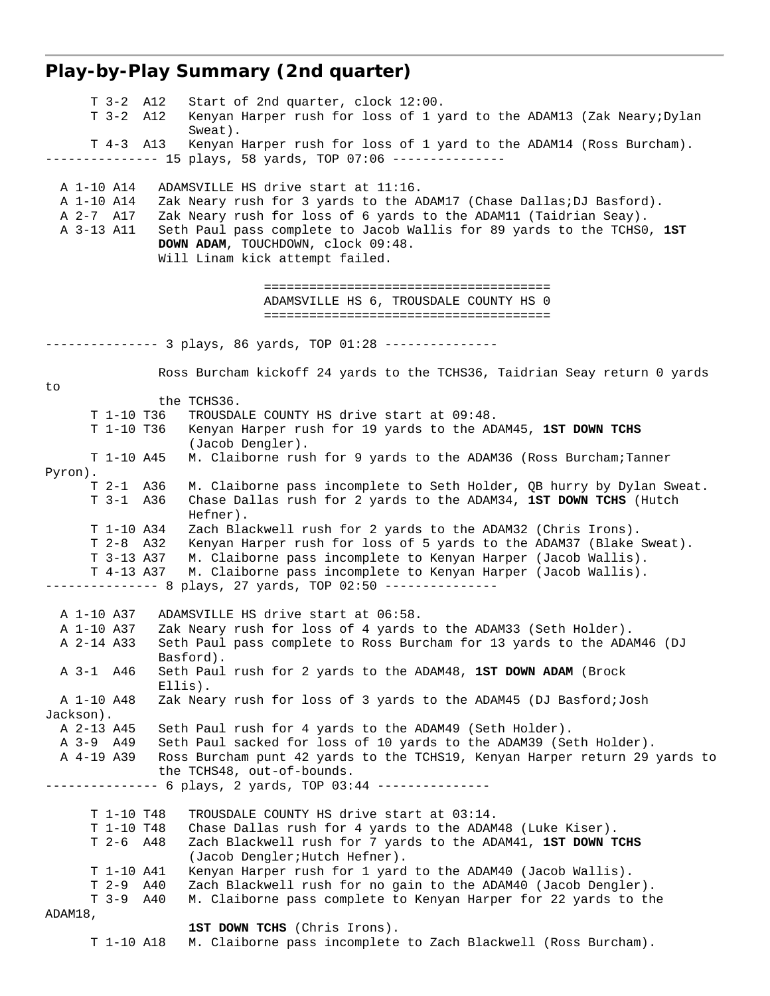# **Play-by-Play Summary (2nd quarter)**

| $T$ 3-2 $A12$<br>$T$ 3-2 $A12$                        | Start of 2nd quarter, clock 12:00.<br>Kenyan Harper rush for loss of 1 yard to the ADAM13 (Zak Neary; Dylan<br>Sweat).                                                                                                                                                                                                              |
|-------------------------------------------------------|-------------------------------------------------------------------------------------------------------------------------------------------------------------------------------------------------------------------------------------------------------------------------------------------------------------------------------------|
| $T$ 4-3 A13                                           | Kenyan Harper rush for loss of 1 yard to the ADAM14 (Ross Burcham).<br>---------- 15 plays, 58 yards, TOP 07:06 ---------------                                                                                                                                                                                                     |
| A 1-10 A14<br>A 1-10 A14<br>A 2-7 A17<br>A 3-13 A11   | ADAMSVILLE HS drive start at 11:16.<br>Zak Neary rush for 3 yards to the ADAM17 (Chase Dallas; DJ Basford).<br>Zak Neary rush for loss of 6 yards to the ADAM11 (Taidrian Seay).<br>Seth Paul pass complete to Jacob Wallis for 89 yards to the TCHSO, 1ST<br>DOWN ADAM, TOUCHDOWN, clock 09:48.<br>Will Linam kick attempt failed. |
|                                                       | ADAMSVILLE HS 6, TROUSDALE COUNTY HS 0                                                                                                                                                                                                                                                                                              |
|                                                       | --------- 3 plays, 86 yards, TOP 01:28 ---------------                                                                                                                                                                                                                                                                              |
| to                                                    | Ross Burcham kickoff 24 yards to the TCHS36, Taidrian Seay return 0 yards                                                                                                                                                                                                                                                           |
|                                                       | the TCHS36.                                                                                                                                                                                                                                                                                                                         |
| T 1-10 T36                                            | TROUSDALE COUNTY HS drive start at 09:48.                                                                                                                                                                                                                                                                                           |
| T 1-10 T36                                            | Kenyan Harper rush for 19 yards to the ADAM45, 1ST DOWN TCHS                                                                                                                                                                                                                                                                        |
| $T 1-10 A45$                                          | (Jacob Dengler).<br>M. Claiborne rush for 9 yards to the ADAM36 (Ross Burcham; Tanner                                                                                                                                                                                                                                               |
| Pyron).                                               |                                                                                                                                                                                                                                                                                                                                     |
| T 2-1 A36                                             | M. Claiborne pass incomplete to Seth Holder, QB hurry by Dylan Sweat.                                                                                                                                                                                                                                                               |
| $T$ 3-1 A36                                           | Chase Dallas rush for 2 yards to the ADAM34, 1ST DOWN TCHS (Hutch<br>Hefner).                                                                                                                                                                                                                                                       |
| T 1-10 A34<br>$T$ 2-8 A32<br>T 3-13 A37<br>T 4-13 A37 | Zach Blackwell rush for 2 yards to the ADAM32 (Chris Irons).<br>Kenyan Harper rush for loss of 5 yards to the ADAM37 (Blake Sweat).<br>M. Claiborne pass incomplete to Kenyan Harper (Jacob Wallis).<br>M. Claiborne pass incomplete to Kenyan Harper (Jacob Wallis).                                                               |
|                                                       |                                                                                                                                                                                                                                                                                                                                     |
| A 1-10 A37                                            | ADAMSVILLE HS drive start at 06:58.                                                                                                                                                                                                                                                                                                 |
| A 1-10 A37                                            | Zak Neary rush for loss of 4 yards to the ADAM33 (Seth Holder).                                                                                                                                                                                                                                                                     |
| A 2-14 A33                                            | Seth Paul pass complete to Ross Burcham for 13 yards to the ADAM46 (DJ<br>Basford).                                                                                                                                                                                                                                                 |
| A 3-1 A 46                                            | Seth Paul rush for 2 yards to the ADAM48, 1ST DOWN ADAM (Brock<br>Ellis).                                                                                                                                                                                                                                                           |
| A 1-10 A48<br>Jackson).                               | Zak Neary rush for loss of 3 yards to the ADAM45 (DJ Basford; Josh                                                                                                                                                                                                                                                                  |
| A 2-13 A45                                            | Seth Paul rush for 4 yards to the ADAM49 (Seth Holder).                                                                                                                                                                                                                                                                             |
| A 3-9 A49                                             | Seth Paul sacked for loss of 10 yards to the ADAM39 (Seth Holder).                                                                                                                                                                                                                                                                  |
| A 4-19 A39                                            | Ross Burcham punt 42 yards to the TCHS19, Kenyan Harper return 29 yards to<br>the TCHS48, out-of-bounds.                                                                                                                                                                                                                            |
|                                                       | ---------- 6 plays, 2 yards, TOP 03:44 ---------------                                                                                                                                                                                                                                                                              |
| T 1-10 T48                                            | TROUSDALE COUNTY HS drive start at 03:14.                                                                                                                                                                                                                                                                                           |
| T 1-10 T48                                            | Chase Dallas rush for 4 yards to the ADAM48 (Luke Kiser).                                                                                                                                                                                                                                                                           |
| T 2-6 A48                                             | Zach Blackwell rush for 7 yards to the ADAM41, 1ST DOWN TCHS<br>(Jacob Dengler; Hutch Hefner).                                                                                                                                                                                                                                      |
| $T 1-10 A41$                                          | Kenyan Harper rush for 1 yard to the ADAM40 (Jacob Wallis).                                                                                                                                                                                                                                                                         |
| $T 2-9 A40$                                           | Zach Blackwell rush for no gain to the ADAM40 (Jacob Dengler).                                                                                                                                                                                                                                                                      |
| $T$ 3-9 $A40$<br>ADAM18,                              | M. Claiborne pass complete to Kenyan Harper for 22 yards to the                                                                                                                                                                                                                                                                     |
| T 1-10 A18                                            | 1ST DOWN TCHS (Chris Irons).<br>M. Claiborne pass incomplete to Zach Blackwell (Ross Burcham).                                                                                                                                                                                                                                      |
|                                                       |                                                                                                                                                                                                                                                                                                                                     |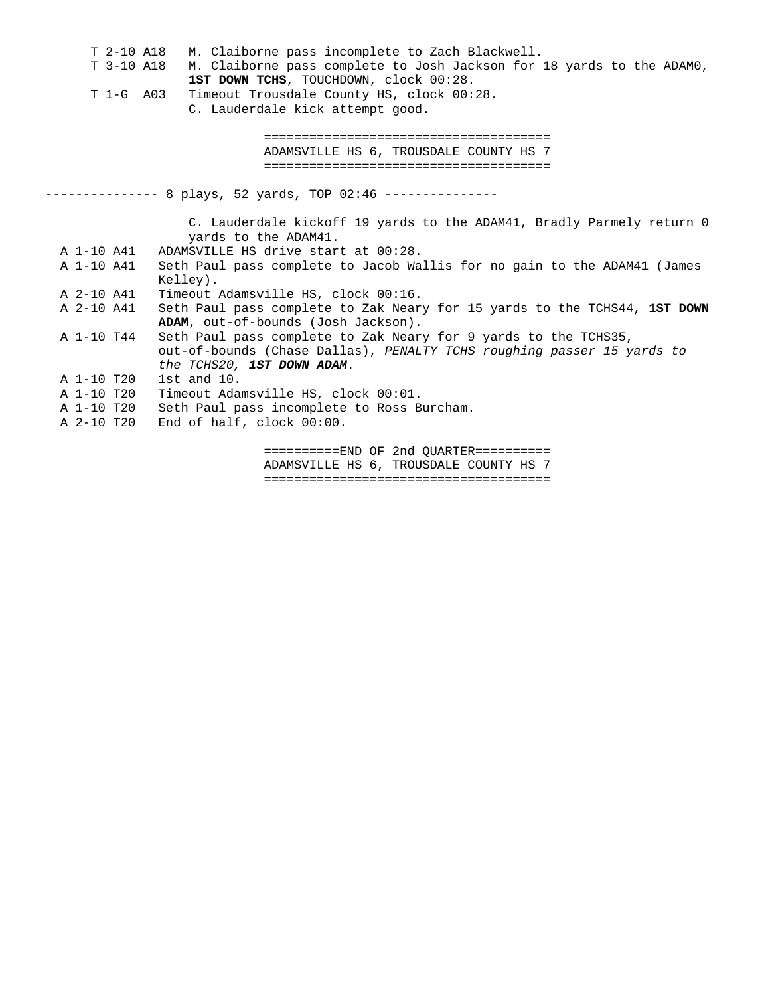| T 2-10 A18 | M. Claiborne pass incomplete to Zach Blackwell.                           |
|------------|---------------------------------------------------------------------------|
| T 3-10 A18 | M. Claiborne pass complete to Josh Jackson for 18 yards to the ADAMO,     |
|            | 1ST DOWN TCHS, TOUCHDOWN, clock 00:28.                                    |
| T 1-G A03  | Timeout Trousdale County HS, clock 00:28.                                 |
|            | C. Lauderdale kick attempt good.                                          |
|            |                                                                           |
|            |                                                                           |
|            | ADAMSVILLE HS 6, TROUSDALE COUNTY HS 7                                    |
|            |                                                                           |
|            |                                                                           |
|            |                                                                           |
|            |                                                                           |
|            | C. Lauderdale kickoff 19 yards to the ADAM41, Bradly Parmely return 0     |
|            | yards to the ADAM41.                                                      |
| A 1-10 A41 | ADAMSVILLE HS drive start at 00:28.                                       |
| A 1-10 A41 | Seth Paul pass complete to Jacob Wallis for no gain to the ADAM41 (James  |
|            | Kelley).                                                                  |
| A 2-10 A41 | Timeout Adamsville HS, clock 00:16.                                       |
| A 2-10 A41 | Seth Paul pass complete to Zak Neary for 15 yards to the TCHS44, 1ST DOWN |
|            | ADAM, out-of-bounds (Josh Jackson).                                       |
| A 1-10 T44 | Seth Paul pass complete to Zak Neary for 9 yards to the TCHS35,           |
|            | out-of-bounds (Chase Dallas), PENALTY TCHS roughing passer 15 yards to    |
|            | the TCHS20, 1ST DOWN ADAM.                                                |
| A 1-10 T20 | 1st and $10$ .                                                            |
| A 1-10 T20 | Timeout Adamsville HS, clock 00:01.                                       |
| A 1-10 T20 | Seth Paul pass incomplete to Ross Burcham.                                |
| A 2-10 T20 | End of half, clock 00:00.                                                 |
|            | $=======END OF 2nd 0UARTER=========$                                      |
|            | ADAMSVILLE HS 6, TROUSDALE COUNTY HS 7                                    |
|            |                                                                           |
|            |                                                                           |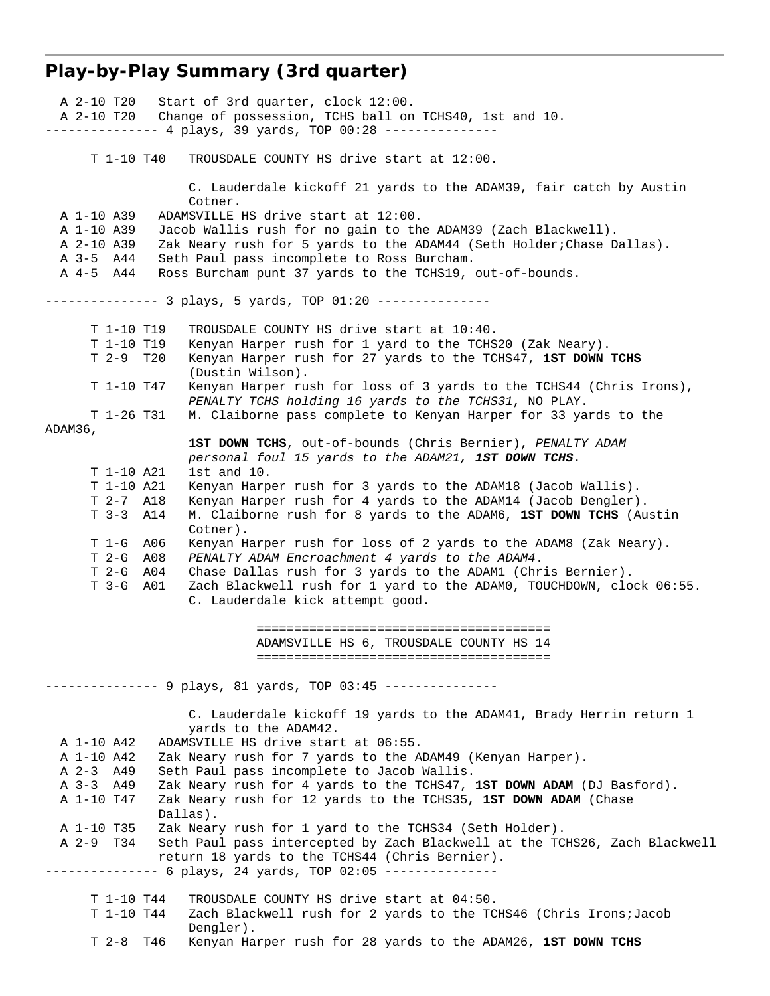# **Play-by-Play Summary (3rd quarter)**

| A 2-10 T20     | Start of 3rd quarter, clock 12:00.                                         |
|----------------|----------------------------------------------------------------------------|
|                | A 2-10 T20 Change of possession, TCHS ball on TCHS40, 1st and 10.          |
|                | --------------- 4 plays, 39 yards, TOP 00:28 ---------------               |
|                |                                                                            |
| T 1-10 T40     | TROUSDALE COUNTY HS drive start at 12:00.                                  |
|                |                                                                            |
|                | C. Lauderdale kickoff 21 yards to the ADAM39, fair catch by Austin         |
|                | Cotner.                                                                    |
| A 1-10 A39     | ADAMSVILLE HS drive start at 12:00.                                        |
| A 1-10 A39     | Jacob Wallis rush for no gain to the ADAM39 (Zach Blackwell).              |
| A 2-10 A39     | Zak Neary rush for 5 yards to the ADAM44 (Seth Holder; Chase Dallas).      |
| A 3-5 A44      | Seth Paul pass incomplete to Ross Burcham.                                 |
|                |                                                                            |
| A 4-5 A44      | Ross Burcham punt 37 yards to the TCHS19, out-of-bounds.                   |
|                |                                                                            |
|                |                                                                            |
|                |                                                                            |
| T 1-10 T19     | TROUSDALE COUNTY HS drive start at 10:40.                                  |
| T 1-10 T19     | Kenyan Harper rush for 1 yard to the TCHS20 (Zak Neary).                   |
| $T$ 2-9 $T$ 20 | Kenyan Harper rush for 27 yards to the TCHS47, 1ST DOWN TCHS               |
|                | (Dustin Wilson).                                                           |
| T 1-10 T47     | Kenyan Harper rush for loss of 3 yards to the TCHS44 (Chris Irons),        |
|                | PENALTY TCHS holding 16 yards to the TCHS31, NO PLAY.                      |
| T 1-26 T31     | M. Claiborne pass complete to Kenyan Harper for 33 yards to the            |
| ADAM36,        |                                                                            |
|                | 1ST DOWN TCHS, out-of-bounds (Chris Bernier), PENALTY ADAM                 |
|                | personal foul 15 yards to the ADAM21, 1ST DOWN TCHS.                       |
| T 1-10 A21     | $1st$ and $10.$                                                            |
| T 1-10 A21     | Kenyan Harper rush for 3 yards to the ADAM18 (Jacob Wallis).               |
| $T 2-7 A18$    | Kenyan Harper rush for 4 yards to the ADAM14 (Jacob Dengler).              |
| $T$ 3-3 $A14$  | M. Claiborne rush for 8 yards to the ADAM6, 1ST DOWN TCHS (Austin          |
|                | Cotner).                                                                   |
| T 1-G A06      | Kenyan Harper rush for loss of 2 yards to the ADAM8 (Zak Neary).           |
| T 2-G A08      | PENALTY ADAM Encroachment 4 yards to the ADAM4.                            |
|                |                                                                            |
| T 2-G A04      | Chase Dallas rush for 3 yards to the ADAM1 (Chris Bernier).                |
| T 3-G A01      | Zach Blackwell rush for 1 yard to the ADAM0, TOUCHDOWN, clock 06:55.       |
|                | C. Lauderdale kick attempt good.                                           |
|                |                                                                            |
|                |                                                                            |
|                | ADAMSVILLE HS 6, TROUSDALE COUNTY HS 14                                    |
|                |                                                                            |
|                |                                                                            |
|                | -------------- 9 plays, 81 yards, TOP 03:45 ---------------                |
|                |                                                                            |
|                | C. Lauderdale kickoff 19 yards to the ADAM41, Brady Herrin return 1        |
|                | yards to the ADAM42.                                                       |
| A 1-10 A42     | ADAMSVILLE HS drive start at 06:55.                                        |
| A 1-10 A42     | Zak Neary rush for 7 yards to the ADAM49 (Kenyan Harper).                  |
| A 2-3 A49      | Seth Paul pass incomplete to Jacob Wallis.                                 |
| A 3-3 A 49     | Zak Neary rush for 4 yards to the TCHS47, 1ST DOWN ADAM (DJ Basford).      |
| A 1-10 T47     | Zak Neary rush for 12 yards to the TCHS35, 1ST DOWN ADAM (Chase            |
|                | Dallas).                                                                   |
| A 1-10 T35     | Zak Neary rush for 1 yard to the TCHS34 (Seth Holder).                     |
| A 2-9 T34      | Seth Paul pass intercepted by Zach Blackwell at the TCHS26, Zach Blackwell |
|                |                                                                            |
|                | return 18 yards to the TCHS44 (Chris Bernier).                             |
|                | ------------- 6 plays, 24 yards, TOP 02:05 ---------------                 |
|                |                                                                            |
| T 1-10 T44     | TROUSDALE COUNTY HS drive start at 04:50.                                  |
| T 1-10 T44     | Zach Blackwell rush for 2 yards to the TCHS46 (Chris Irons; Jacob          |
|                | Dengler).                                                                  |
| $T$ 2-8 $T46$  | Kenyan Harper rush for 28 yards to the ADAM26, 1ST DOWN TCHS               |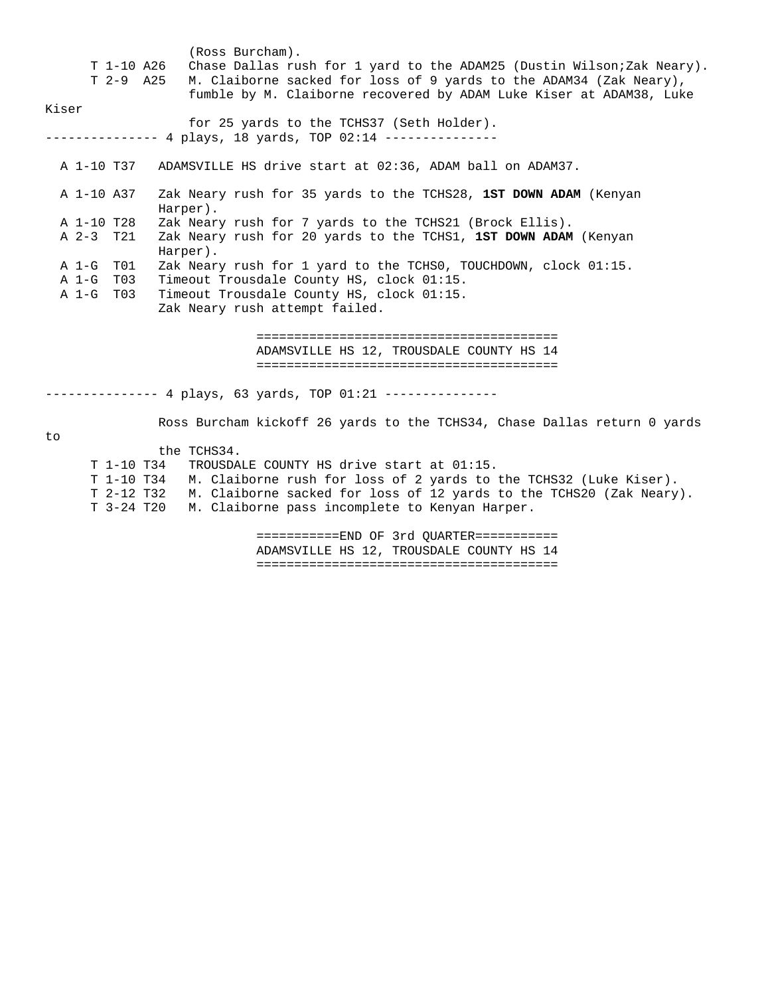| T 1-10 A26<br>T 2-9 A 25<br>Kiser | (Ross Burcham).<br>Chase Dallas rush for 1 yard to the ADAM25 (Dustin Wilson; Zak Neary).<br>M. Claiborne sacked for loss of 9 yards to the ADAM34 (Zak Neary),<br>fumble by M. Claiborne recovered by ADAM Luke Kiser at ADAM38, Luke |  |
|-----------------------------------|----------------------------------------------------------------------------------------------------------------------------------------------------------------------------------------------------------------------------------------|--|
|                                   | for 25 yards to the TCHS37 (Seth Holder).                                                                                                                                                                                              |  |
|                                   | ------- 4 plays, 18 yards, TOP 02:14 ---------------                                                                                                                                                                                   |  |
|                                   |                                                                                                                                                                                                                                        |  |
|                                   | A 1-10 T37 ADAMSVILLE HS drive start at 02:36, ADAM ball on ADAM37.                                                                                                                                                                    |  |
| A 1-10 A37<br>Harper).            | Zak Neary rush for 35 yards to the TCHS28, 1ST DOWN ADAM (Kenyan                                                                                                                                                                       |  |
| A 1-10 T28                        | Zak Neary rush for 7 yards to the TCHS21 (Brock Ellis).                                                                                                                                                                                |  |
| A 2-3 T21<br>Harper).             | Zak Neary rush for 20 yards to the TCHS1, 1ST DOWN ADAM (Kenyan                                                                                                                                                                        |  |
| A 1-G T01                         | Zak Neary rush for 1 yard to the TCHSO, TOUCHDOWN, clock 01:15.                                                                                                                                                                        |  |
| A 1-G T03                         | Timeout Trousdale County HS, clock 01:15.                                                                                                                                                                                              |  |
| A 1-G T03                         | Timeout Trousdale County HS, clock 01:15.                                                                                                                                                                                              |  |
|                                   | Zak Neary rush attempt failed.                                                                                                                                                                                                         |  |
|                                   | --------------------------------------                                                                                                                                                                                                 |  |
|                                   | ADAMSVILLE HS 12, TROUSDALE COUNTY HS 14                                                                                                                                                                                               |  |
|                                   |                                                                                                                                                                                                                                        |  |
|                                   | --------------- 4 plays, 63 yards, TOP 01:21 ---------------                                                                                                                                                                           |  |
| to                                | Ross Burcham kickoff 26 yards to the TCHS34, Chase Dallas return 0 yards                                                                                                                                                               |  |
| the TCHS34.                       |                                                                                                                                                                                                                                        |  |

 T 1-10 T34 TROUSDALE COUNTY HS drive start at 01:15. T 1-10 T34 M. Claiborne rush for loss of 2 yards to the TCHS32 (Luke Kiser). T 2-12 T32 M. Claiborne sacked for loss of 12 yards to the TCHS20 (Zak Neary). T 3-24 T20 M. Claiborne pass incomplete to Kenyan Harper.

> ===========END OF 3rd QUARTER=========== ADAMSVILLE HS 12, TROUSDALE COUNTY HS 14 ========================================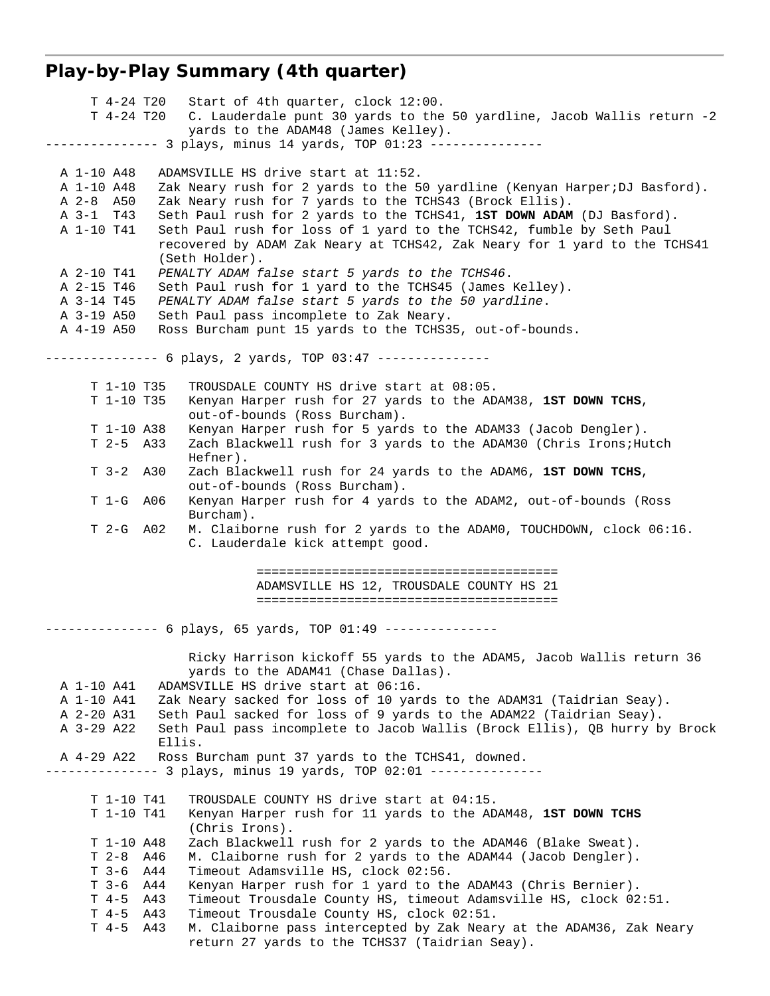# **Play-by-Play Summary (4th quarter)**

| T 4-24 T20                                          | Start of 4th quarter, clock 12:00.                                                                                          |  |
|-----------------------------------------------------|-----------------------------------------------------------------------------------------------------------------------------|--|
| T 4-24 T20                                          | C. Lauderdale punt 30 yards to the 50 yardline, Jacob Wallis return -2                                                      |  |
|                                                     | yards to the ADAM48 (James Kelley).                                                                                         |  |
|                                                     | -------------- 3 plays, minus 14 yards, TOP 01:23 ---------------                                                           |  |
| A 1-10 A48                                          | ADAMSVILLE HS drive start at 11:52.                                                                                         |  |
| A 1-10 A48                                          | Zak Neary rush for 2 yards to the 50 yardline (Kenyan Harper; DJ Basford).                                                  |  |
| A 2-8 A50                                           | Zak Neary rush for 7 yards to the TCHS43 (Brock Ellis).                                                                     |  |
| A 3-1 T43                                           | Seth Paul rush for 2 yards to the TCHS41, 1ST DOWN ADAM (DJ Basford).                                                       |  |
| A 1-10 T41                                          | Seth Paul rush for loss of 1 yard to the TCHS42, fumble by Seth Paul                                                        |  |
|                                                     | recovered by ADAM Zak Neary at TCHS42, Zak Neary for 1 yard to the TCHS41<br>(Seth Holder).                                 |  |
| A 2-10 T41                                          | PENALTY ADAM false start 5 yards to the TCHS46.                                                                             |  |
| A 2-15 T46                                          | Seth Paul rush for 1 yard to the TCHS45 (James Kelley).                                                                     |  |
| A 3-14 T45                                          | PENALTY ADAM false start 5 yards to the 50 yardline.                                                                        |  |
|                                                     | A 3-19 A50<br>Seth Paul pass incomplete to Zak Neary.                                                                       |  |
| A 4-19 A50                                          | Ross Burcham punt 15 yards to the TCHS35, out-of-bounds.                                                                    |  |
|                                                     | -------------- 6 plays, 2 yards, TOP 03:47 ---------------                                                                  |  |
| T 1-10 T35                                          | TROUSDALE COUNTY HS drive start at 08:05.                                                                                   |  |
| T 1-10 T35                                          | Kenyan Harper rush for 27 yards to the ADAM38, 1ST DOWN TCHS,                                                               |  |
|                                                     | out-of-bounds (Ross Burcham).                                                                                               |  |
| T 1-10 A38                                          | Kenyan Harper rush for 5 yards to the ADAM33 (Jacob Dengler).                                                               |  |
| $T$ 2-5 A33                                         | Zach Blackwell rush for 3 yards to the ADAM30 (Chris Irons; Hutch<br>Hefner).                                               |  |
| $T$ 3-2 A30                                         | Zach Blackwell rush for 24 yards to the ADAM6, 1ST DOWN TCHS,                                                               |  |
|                                                     | out-of-bounds (Ross Burcham).                                                                                               |  |
| T 1-G A06                                           | Kenyan Harper rush for 4 yards to the ADAM2, out-of-bounds (Ross                                                            |  |
| T 2-G A02                                           | Burcham).<br>M. Claiborne rush for 2 yards to the ADAMO, TOUCHDOWN, clock 06:16.                                            |  |
|                                                     | C. Lauderdale kick attempt good.                                                                                            |  |
|                                                     |                                                                                                                             |  |
|                                                     |                                                                                                                             |  |
|                                                     | ADAMSVILLE HS 12, TROUSDALE COUNTY HS 21                                                                                    |  |
|                                                     |                                                                                                                             |  |
| ------ 6 plays, 65 yards, TOP 01:49 --------------- |                                                                                                                             |  |
|                                                     | Ricky Harrison kickoff 55 yards to the ADAM5, Jacob Wallis return 36<br>yards to the ADAM41 (Chase Dallas).                 |  |
| A 1-10 A41                                          | ADAMSVILLE HS drive start at 06:16.                                                                                         |  |
| A 1-10 A41                                          | Zak Neary sacked for loss of 10 yards to the ADAM31 (Taidrian Seay).                                                        |  |
| A 2-20 A31                                          | Seth Paul sacked for loss of 9 yards to the ADAM22 (Taidrian Seay).                                                         |  |
| A 3-29 A22                                          | Seth Paul pass incomplete to Jacob Wallis (Brock Ellis), QB hurry by Brock<br>Ellis.                                        |  |
| A 4-29 A22                                          | Ross Burcham punt 37 yards to the TCHS41, downed.                                                                           |  |
|                                                     | ----- 3 plays, minus 19 yards, TOP 02:01 ---------------                                                                    |  |
| T 1-10 T41                                          | TROUSDALE COUNTY HS drive start at 04:15.                                                                                   |  |
| T 1-10 T41                                          | Kenyan Harper rush for 11 yards to the ADAM48, 1ST DOWN TCHS                                                                |  |
|                                                     | (Chris Irons).                                                                                                              |  |
| T 1-10 A48                                          | Zach Blackwell rush for 2 yards to the ADAM46 (Blake Sweat).                                                                |  |
| $T2-8$                                              | A46<br>M. Claiborne rush for 2 yards to the ADAM44 (Jacob Dengler).                                                         |  |
| $T-3-6$                                             | A44<br>Timeout Adamsville HS, clock 02:56.                                                                                  |  |
| т 3-6                                               | Kenyan Harper rush for 1 yard to the ADAM43 (Chris Bernier).<br>A44                                                         |  |
| $T \quad 4-5$<br>$T \quad 4-5$                      | A43<br>Timeout Trousdale County HS, timeout Adamsville HS, clock 02:51.<br>Timeout Trousdale County HS, clock 02:51.<br>A43 |  |
| $T \quad 4-5$                                       | A43<br>M. Claiborne pass intercepted by Zak Neary at the ADAM36, Zak Neary                                                  |  |
|                                                     | return 27 yards to the TCHS37 (Taidrian Seay).                                                                              |  |